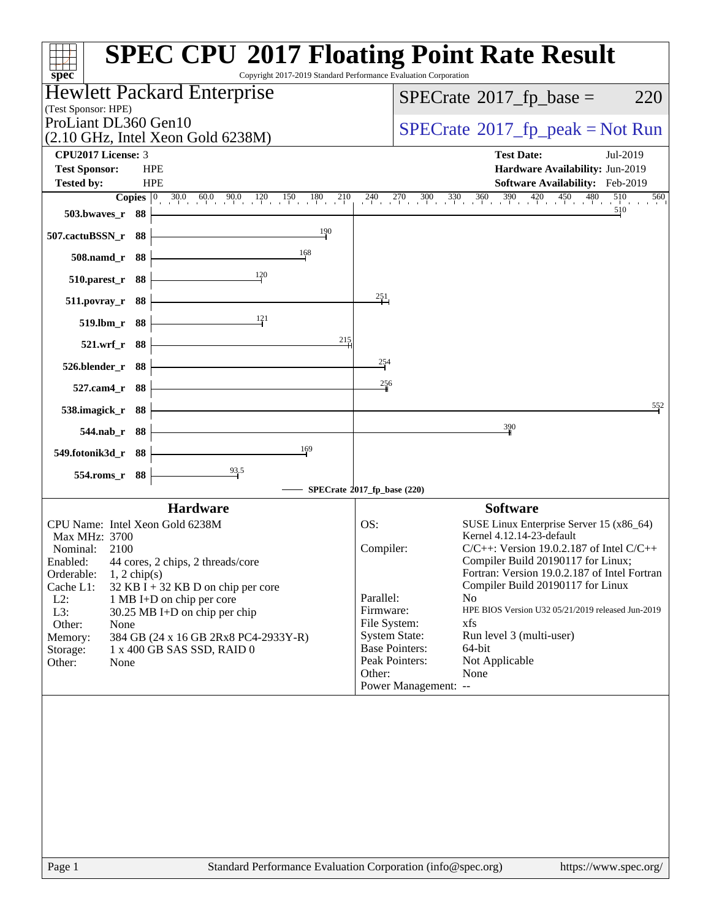| $spec^*$                                                                           | <b>SPEC CPU®2017 Floating Point Rate Result</b><br>Copyright 2017-2019 Standard Performance Evaluation Corporation |
|------------------------------------------------------------------------------------|--------------------------------------------------------------------------------------------------------------------|
| Hewlett Packard Enterprise                                                         | $SPECrate^{\circ}2017$ _fp_base =<br>220                                                                           |
| (Test Sponsor: HPE)                                                                |                                                                                                                    |
| ProLiant DL360 Gen10<br>$(2.10 \text{ GHz}, \text{Intel Xeon Gold } 6238\text{M})$ | $SPECrate^{\circ}2017rfp peak = Not Run$                                                                           |
| CPU2017 License: 3                                                                 | <b>Test Date:</b><br>Jul-2019                                                                                      |
| <b>Test Sponsor:</b><br><b>HPE</b>                                                 | Hardware Availability: Jun-2019                                                                                    |
| <b>HPE</b><br><b>Tested by:</b>                                                    | Software Availability: Feb-2019                                                                                    |
| Copies $ 0 $<br>$30.0$ $60.0$ $90.0$ $120$ $150$ $180$ $210$                       | $-240$ $-270$ $-300$ $-330$ $-360$ $-390$ $-420$ $-450$ $-480$<br>510<br>560                                       |
| 503.bwaves_r 88                                                                    | $510\,$                                                                                                            |
| 190<br>507.cactuBSSN_r 88                                                          |                                                                                                                    |
| 168<br>508.namd_r 88                                                               |                                                                                                                    |
| 120<br>510.parest_r 88                                                             |                                                                                                                    |
| 88<br>511.povray_r                                                                 | $\frac{251}{4}$                                                                                                    |
| $\frac{121}{2}$<br>519.lbm_r 88                                                    |                                                                                                                    |
| 215<br>521.wrf_r 88                                                                |                                                                                                                    |
| 526.blender_r 88                                                                   | 254                                                                                                                |
| 527.cam4_r 88                                                                      | 256                                                                                                                |
| 538.imagick_r 88                                                                   | 552                                                                                                                |
| 544.nab_r 88                                                                       | 390                                                                                                                |
| 169<br>549.fotonik3d_r 88                                                          |                                                                                                                    |
| $\frac{93.5}{4}$<br>554.roms_r 88                                                  |                                                                                                                    |
|                                                                                    | SPECrate®2017_fp_base (220)                                                                                        |
| <b>Hardware</b>                                                                    | <b>Software</b>                                                                                                    |
| CPU Name: Intel Xeon Gold 6238M<br>Max MHz: 3700                                   | SUSE Linux Enterprise Server 15 (x86_64)<br>OS:<br>Kernel 4.12.14-23-default                                       |
| Nominal:<br>2100                                                                   | Compiler:<br>$C/C++$ : Version 19.0.2.187 of Intel $C/C++$                                                         |
| Enabled: 44 cores, 2 chips, 2 threads/core                                         | Compiler Build 20190117 for Linux;                                                                                 |
| Orderable:<br>$1, 2$ chip(s)<br>Cache L1:<br>$32$ KB I + 32 KB D on chip per core  | Fortran: Version 19.0.2.187 of Intel Fortran<br>Compiler Build 20190117 for Linux                                  |
| $L2$ :<br>1 MB I+D on chip per core                                                | Parallel:<br>N <sub>o</sub>                                                                                        |
| L3:<br>$30.25 \text{ MB I+D}$ on chip per chip                                     | HPE BIOS Version U32 05/21/2019 released Jun-2019<br>Firmware:                                                     |
| Other:<br>None                                                                     | File System:<br>xfs                                                                                                |
| 384 GB (24 x 16 GB 2Rx8 PC4-2933Y-R)<br>Memory:                                    | <b>System State:</b><br>Run level 3 (multi-user)                                                                   |
| 1 x 400 GB SAS SSD, RAID 0<br>Storage:                                             | <b>Base Pointers:</b><br>64-bit                                                                                    |
| Other:<br>None                                                                     | Peak Pointers:<br>Not Applicable<br>Other:<br>None                                                                 |
|                                                                                    | Power Management: --                                                                                               |
|                                                                                    |                                                                                                                    |
|                                                                                    |                                                                                                                    |
|                                                                                    |                                                                                                                    |
|                                                                                    |                                                                                                                    |
|                                                                                    |                                                                                                                    |
|                                                                                    |                                                                                                                    |
|                                                                                    |                                                                                                                    |
|                                                                                    |                                                                                                                    |
|                                                                                    |                                                                                                                    |
|                                                                                    |                                                                                                                    |
|                                                                                    |                                                                                                                    |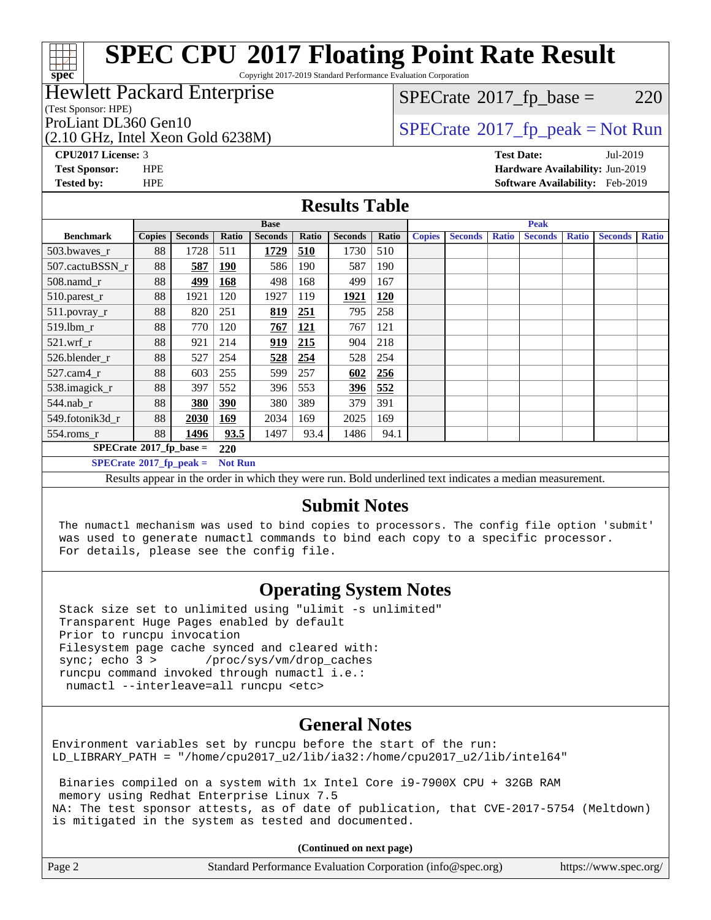# **[spec](http://www.spec.org/)**

# **[SPEC CPU](http://www.spec.org/auto/cpu2017/Docs/result-fields.html#SPECCPU2017FloatingPointRateResult)[2017 Floating Point Rate Result](http://www.spec.org/auto/cpu2017/Docs/result-fields.html#SPECCPU2017FloatingPointRateResult)**

Copyright 2017-2019 Standard Performance Evaluation Corporation

#### Hewlett Packard Enterprise

(Test Sponsor: HPE)

(2.10 GHz, Intel Xeon Gold 6238M)

 $SPECTate$ <sup>®</sup>[2017\\_fp\\_base =](http://www.spec.org/auto/cpu2017/Docs/result-fields.html#SPECrate2017fpbase) 220

## ProLiant DL360 Gen10<br>  $\begin{array}{c}\n\text{SPECrate} \textcircled{2017\_fp\_peak} = \text{Not Run} \\
\text{PDCHz Intel Yoon Gold } 6238M\n\end{array}$  $\begin{array}{c}\n\text{SPECrate} \textcircled{2017\_fp\_peak} = \text{Not Run} \\
\text{PDCHz Intel Yoon Gold } 6238M\n\end{array}$  $\begin{array}{c}\n\text{SPECrate} \textcircled{2017\_fp\_peak} = \text{Not Run} \\
\text{PDCHz Intel Yoon Gold } 6238M\n\end{array}$

**[CPU2017 License:](http://www.spec.org/auto/cpu2017/Docs/result-fields.html#CPU2017License)** 3 **[Test Date:](http://www.spec.org/auto/cpu2017/Docs/result-fields.html#TestDate)** Jul-2019 **[Test Sponsor:](http://www.spec.org/auto/cpu2017/Docs/result-fields.html#TestSponsor)** HPE **[Hardware Availability:](http://www.spec.org/auto/cpu2017/Docs/result-fields.html#HardwareAvailability)** Jun-2019 **[Tested by:](http://www.spec.org/auto/cpu2017/Docs/result-fields.html#Testedby)** HPE **[Software Availability:](http://www.spec.org/auto/cpu2017/Docs/result-fields.html#SoftwareAvailability)** Feb-2019

#### **[Results Table](http://www.spec.org/auto/cpu2017/Docs/result-fields.html#ResultsTable)**

|                                         | <b>Base</b>   |                |                |                |            |                | <b>Peak</b> |               |                |              |                |              |                |              |
|-----------------------------------------|---------------|----------------|----------------|----------------|------------|----------------|-------------|---------------|----------------|--------------|----------------|--------------|----------------|--------------|
| <b>Benchmark</b>                        | <b>Copies</b> | <b>Seconds</b> | Ratio          | <b>Seconds</b> | Ratio      | <b>Seconds</b> | Ratio       | <b>Copies</b> | <b>Seconds</b> | <b>Ratio</b> | <b>Seconds</b> | <b>Ratio</b> | <b>Seconds</b> | <b>Ratio</b> |
| 503.bwayes r                            | 88            | 1728           | 511            | 1729           | 510        | 1730           | 510         |               |                |              |                |              |                |              |
| 507.cactuBSSN r                         | 88            | 587            | <u>190</u>     | 586            | 190        | 587            | 190         |               |                |              |                |              |                |              |
| $508$ .namd_r                           | 88            | 499            | 168            | 498            | 168        | 499            | 167         |               |                |              |                |              |                |              |
| 510.parest_r                            | 88            | 1921           | 120            | 1927           | 119        | 1921           | <b>120</b>  |               |                |              |                |              |                |              |
| 511.povray_r                            | 88            | 820            | 251            | 819            | 251        | 795            | 258         |               |                |              |                |              |                |              |
| 519.lbm_r                               | 88            | 770            | 120            | 767            | <u>121</u> | 767            | 121         |               |                |              |                |              |                |              |
| $521$ .wrf r                            | 88            | 921            | 214            | 919            | 215        | 904            | 218         |               |                |              |                |              |                |              |
| 526.blender r                           | 88            | 527            | 254            | 528            | 254        | 528            | 254         |               |                |              |                |              |                |              |
| $527$ .cam $4r$                         | 88            | 603            | 255            | 599            | 257        | 602            | 256         |               |                |              |                |              |                |              |
| 538.imagick_r                           | 88            | 397            | 552            | 396            | 553        | <u>396</u>     | 552         |               |                |              |                |              |                |              |
| $544$ .nab_r                            | 88            | 380            | 390            | 380            | 389        | 379            | 391         |               |                |              |                |              |                |              |
| 549.fotonik3d r                         | 88            | 2030           | 169            | 2034           | 169        | 2025           | 169         |               |                |              |                |              |                |              |
| $554$ .roms_r                           | 88            | 1496           | 93.5           | 1497           | 93.4       | 1486           | 94.1        |               |                |              |                |              |                |              |
| $SPECrate^{\circ}2017$ fp base =<br>220 |               |                |                |                |            |                |             |               |                |              |                |              |                |              |
| $SPECrate@2017_fp\_peak =$              |               |                | <b>Not Run</b> |                |            |                |             |               |                |              |                |              |                |              |

Results appear in the [order in which they were run.](http://www.spec.org/auto/cpu2017/Docs/result-fields.html#RunOrder) Bold underlined text [indicates a median measurement.](http://www.spec.org/auto/cpu2017/Docs/result-fields.html#Median)

#### **[Submit Notes](http://www.spec.org/auto/cpu2017/Docs/result-fields.html#SubmitNotes)**

 The numactl mechanism was used to bind copies to processors. The config file option 'submit' was used to generate numactl commands to bind each copy to a specific processor. For details, please see the config file.

### **[Operating System Notes](http://www.spec.org/auto/cpu2017/Docs/result-fields.html#OperatingSystemNotes)**

 Stack size set to unlimited using "ulimit -s unlimited" Transparent Huge Pages enabled by default Prior to runcpu invocation Filesystem page cache synced and cleared with: sync; echo 3 > /proc/sys/vm/drop\_caches runcpu command invoked through numactl i.e.: numactl --interleave=all runcpu <etc>

### **[General Notes](http://www.spec.org/auto/cpu2017/Docs/result-fields.html#GeneralNotes)**

Environment variables set by runcpu before the start of the run: LD\_LIBRARY\_PATH = "/home/cpu2017\_u2/lib/ia32:/home/cpu2017\_u2/lib/intel64"

 Binaries compiled on a system with 1x Intel Core i9-7900X CPU + 32GB RAM memory using Redhat Enterprise Linux 7.5 NA: The test sponsor attests, as of date of publication, that CVE-2017-5754 (Meltdown) is mitigated in the system as tested and documented.

**(Continued on next page)**

| Page 2 | Standard Performance Evaluation Corporation (info@spec.org) | https://www.spec.org/ |
|--------|-------------------------------------------------------------|-----------------------|
|--------|-------------------------------------------------------------|-----------------------|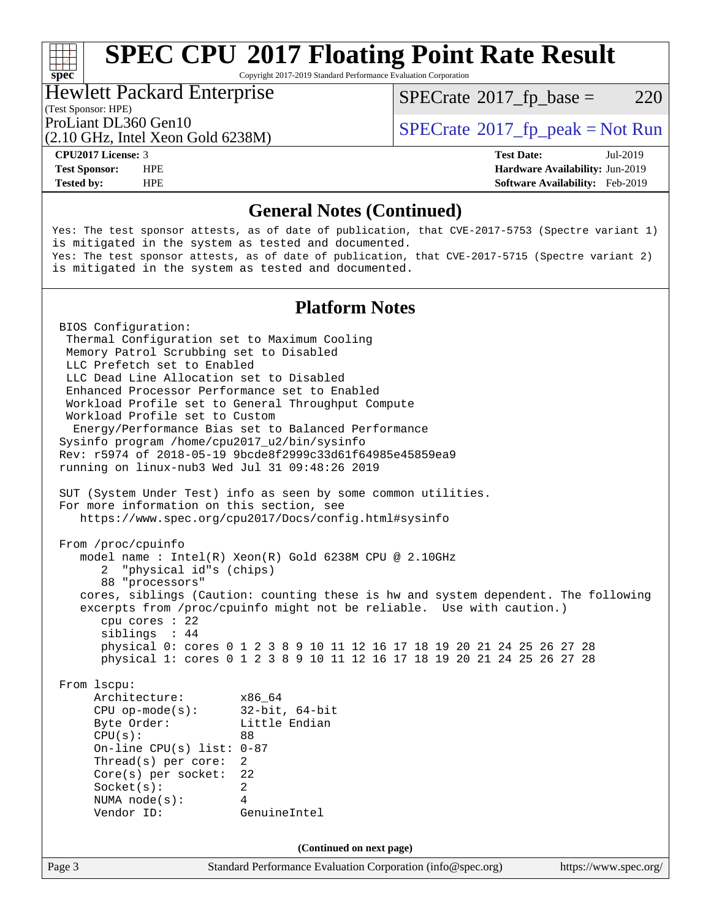Copyright 2017-2019 Standard Performance Evaluation Corporation

#### Hewlett Packard Enterprise

(Test Sponsor: HPE)

 $SPECTate$ <sup>®</sup>[2017\\_fp\\_base =](http://www.spec.org/auto/cpu2017/Docs/result-fields.html#SPECrate2017fpbase) 220

(2.10 GHz, Intel Xeon Gold 6238M)

ProLiant DL360 Gen10  $SPECTA 6228M$   $SPECTA 6228M$ 

**[spec](http://www.spec.org/)**<sup>®</sup>

**[CPU2017 License:](http://www.spec.org/auto/cpu2017/Docs/result-fields.html#CPU2017License)** 3 **[Test Date:](http://www.spec.org/auto/cpu2017/Docs/result-fields.html#TestDate)** Jul-2019 **[Test Sponsor:](http://www.spec.org/auto/cpu2017/Docs/result-fields.html#TestSponsor)** HPE **[Hardware Availability:](http://www.spec.org/auto/cpu2017/Docs/result-fields.html#HardwareAvailability)** Jun-2019 **[Tested by:](http://www.spec.org/auto/cpu2017/Docs/result-fields.html#Testedby)** HPE **[Software Availability:](http://www.spec.org/auto/cpu2017/Docs/result-fields.html#SoftwareAvailability)** Feb-2019

#### **[General Notes \(Continued\)](http://www.spec.org/auto/cpu2017/Docs/result-fields.html#GeneralNotes)**

Yes: The test sponsor attests, as of date of publication, that CVE-2017-5753 (Spectre variant 1) is mitigated in the system as tested and documented. Yes: The test sponsor attests, as of date of publication, that CVE-2017-5715 (Spectre variant 2) is mitigated in the system as tested and documented.

#### **[Platform Notes](http://www.spec.org/auto/cpu2017/Docs/result-fields.html#PlatformNotes)**

Page 3 Standard Performance Evaluation Corporation [\(info@spec.org\)](mailto:info@spec.org) <https://www.spec.org/> BIOS Configuration: Thermal Configuration set to Maximum Cooling Memory Patrol Scrubbing set to Disabled LLC Prefetch set to Enabled LLC Dead Line Allocation set to Disabled Enhanced Processor Performance set to Enabled Workload Profile set to General Throughput Compute Workload Profile set to Custom Energy/Performance Bias set to Balanced Performance Sysinfo program /home/cpu2017\_u2/bin/sysinfo Rev: r5974 of 2018-05-19 9bcde8f2999c33d61f64985e45859ea9 running on linux-nub3 Wed Jul 31 09:48:26 2019 SUT (System Under Test) info as seen by some common utilities. For more information on this section, see <https://www.spec.org/cpu2017/Docs/config.html#sysinfo> From /proc/cpuinfo model name : Intel(R) Xeon(R) Gold 6238M CPU @ 2.10GHz 2 "physical id"s (chips) 88 "processors" cores, siblings (Caution: counting these is hw and system dependent. The following excerpts from /proc/cpuinfo might not be reliable. Use with caution.) cpu cores : 22 siblings : 44 physical 0: cores 0 1 2 3 8 9 10 11 12 16 17 18 19 20 21 24 25 26 27 28 physical 1: cores 0 1 2 3 8 9 10 11 12 16 17 18 19 20 21 24 25 26 27 28 From lscpu: Architecture: x86\_64 CPU op-mode(s): 32-bit, 64-bit Byte Order: Little Endian  $CPU(s):$  88 On-line CPU(s) list: 0-87 Thread(s) per core: 2 Core(s) per socket: 22 Socket(s): 2 NUMA node(s): 4 Vendor ID: GenuineIntel **(Continued on next page)**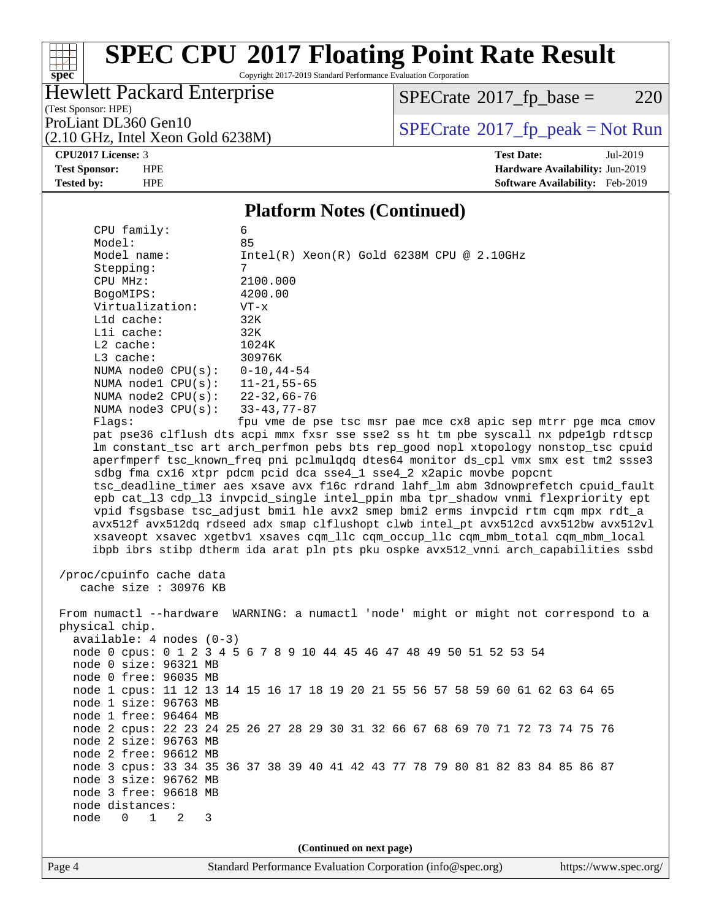# **[spec](http://www.spec.org/)**

# **[SPEC CPU](http://www.spec.org/auto/cpu2017/Docs/result-fields.html#SPECCPU2017FloatingPointRateResult)[2017 Floating Point Rate Result](http://www.spec.org/auto/cpu2017/Docs/result-fields.html#SPECCPU2017FloatingPointRateResult)**

Copyright 2017-2019 Standard Performance Evaluation Corporation

### Hewlett Packard Enterprise

 $SPECrate$ <sup>®</sup>[2017\\_fp\\_base =](http://www.spec.org/auto/cpu2017/Docs/result-fields.html#SPECrate2017fpbase) 220

(Test Sponsor: HPE) (2.10 GHz, Intel Xeon Gold 6238M)

ProLiant DL360 Gen10<br>  $(2.10 \text{ GHz} \text{ Intel } X \text{eon Gold } 6238 \text{M})$   $\qquad \qquad$  [SPECrate](http://www.spec.org/auto/cpu2017/Docs/result-fields.html#SPECrate2017fppeak) [2017\\_fp\\_peak = N](http://www.spec.org/auto/cpu2017/Docs/result-fields.html#SPECrate2017fppeak)ot Run

#### **[CPU2017 License:](http://www.spec.org/auto/cpu2017/Docs/result-fields.html#CPU2017License)** 3 **[Test Date:](http://www.spec.org/auto/cpu2017/Docs/result-fields.html#TestDate)** Jul-2019

**[Test Sponsor:](http://www.spec.org/auto/cpu2017/Docs/result-fields.html#TestSponsor)** HPE **[Hardware Availability:](http://www.spec.org/auto/cpu2017/Docs/result-fields.html#HardwareAvailability)** Jun-2019 **[Tested by:](http://www.spec.org/auto/cpu2017/Docs/result-fields.html#Testedby)** HPE **[Software Availability:](http://www.spec.org/auto/cpu2017/Docs/result-fields.html#SoftwareAvailability)** Feb-2019

#### **[Platform Notes \(Continued\)](http://www.spec.org/auto/cpu2017/Docs/result-fields.html#PlatformNotes)**

|                                  | $\cdots$                                                                             |  |  |  |  |  |  |  |
|----------------------------------|--------------------------------------------------------------------------------------|--|--|--|--|--|--|--|
| CPU family:                      | 6                                                                                    |  |  |  |  |  |  |  |
| Model:                           | 85                                                                                   |  |  |  |  |  |  |  |
| Model name:                      | $Intel(R) Xeon(R) Gold 6238M CPU @ 2.10GHz$                                          |  |  |  |  |  |  |  |
| Stepping:                        | 7                                                                                    |  |  |  |  |  |  |  |
| CPU MHz:                         | 2100.000                                                                             |  |  |  |  |  |  |  |
| BogoMIPS:                        | 4200.00                                                                              |  |  |  |  |  |  |  |
| Virtualization:                  | $VT - x$                                                                             |  |  |  |  |  |  |  |
| L1d cache:                       | 32K                                                                                  |  |  |  |  |  |  |  |
| Lli cache:                       | 32K                                                                                  |  |  |  |  |  |  |  |
| $L2$ cache:                      | 1024K                                                                                |  |  |  |  |  |  |  |
| $L3$ cache:                      | 30976K                                                                               |  |  |  |  |  |  |  |
| NUMA node0 $CPU(s): 0-10, 44-54$ |                                                                                      |  |  |  |  |  |  |  |
| NUMA node1 CPU(s): 11-21,55-65   |                                                                                      |  |  |  |  |  |  |  |
| NUMA node2 CPU(s): 22-32,66-76   |                                                                                      |  |  |  |  |  |  |  |
| NUMA node3 CPU(s):               | 33-43,77-87                                                                          |  |  |  |  |  |  |  |
| Flags:                           | fpu vme de pse tsc msr pae mce cx8 apic sep mtrr pge mca cmov                        |  |  |  |  |  |  |  |
|                                  | pat pse36 clflush dts acpi mmx fxsr sse sse2 ss ht tm pbe syscall nx pdpe1gb rdtscp  |  |  |  |  |  |  |  |
|                                  | lm constant_tsc art arch_perfmon pebs bts rep_good nopl xtopology nonstop_tsc cpuid  |  |  |  |  |  |  |  |
|                                  | aperfmperf tsc_known_freq pni pclmulqdq dtes64 monitor ds_cpl vmx smx est tm2 ssse3  |  |  |  |  |  |  |  |
|                                  | sdbg fma cx16 xtpr pdcm pcid dca sse4_1 sse4_2 x2apic movbe popcnt                   |  |  |  |  |  |  |  |
|                                  | tsc_deadline_timer aes xsave avx f16c rdrand lahf_lm abm 3dnowprefetch cpuid_fault   |  |  |  |  |  |  |  |
|                                  | epb cat_13 cdp_13 invpcid_single intel_ppin mba tpr_shadow vnmi flexpriority ept     |  |  |  |  |  |  |  |
|                                  | vpid fsgsbase tsc_adjust bmil hle avx2 smep bmi2 erms invpcid rtm cqm mpx rdt_a      |  |  |  |  |  |  |  |
|                                  | avx512f avx512dq rdseed adx smap clflushopt clwb intel_pt avx512cd avx512bw avx512vl |  |  |  |  |  |  |  |
|                                  |                                                                                      |  |  |  |  |  |  |  |
|                                  | xsaveopt xsavec xgetbvl xsaves cqm_llc cqm_occup_llc cqm_mbm_total cqm_mbm_local     |  |  |  |  |  |  |  |
|                                  | ibpb ibrs stibp dtherm ida arat pln pts pku ospke avx512_vnni arch_capabilities ssbd |  |  |  |  |  |  |  |
|                                  |                                                                                      |  |  |  |  |  |  |  |
| /proc/cpuinfo cache data         |                                                                                      |  |  |  |  |  |  |  |
| cache size $: 30976$ KB          |                                                                                      |  |  |  |  |  |  |  |
|                                  |                                                                                      |  |  |  |  |  |  |  |
|                                  | From numactl --hardware WARNING: a numactl 'node' might or might not correspond to a |  |  |  |  |  |  |  |
| physical chip.                   |                                                                                      |  |  |  |  |  |  |  |
| $available: 4 nodes (0-3)$       |                                                                                      |  |  |  |  |  |  |  |
|                                  | node 0 cpus: 0 1 2 3 4 5 6 7 8 9 10 44 45 46 47 48 49 50 51 52 53 54                 |  |  |  |  |  |  |  |
| node 0 size: 96321 MB            |                                                                                      |  |  |  |  |  |  |  |
| node 0 free: 96035 MB            |                                                                                      |  |  |  |  |  |  |  |
|                                  | node 1 cpus: 11 12 13 14 15 16 17 18 19 20 21 55 56 57 58 59 60 61 62 63 64 65       |  |  |  |  |  |  |  |
| node 1 size: 96763 MB            |                                                                                      |  |  |  |  |  |  |  |
| node 1 free: 96464 MB            |                                                                                      |  |  |  |  |  |  |  |
|                                  | node 2 cpus: 22 23 24 25 26 27 28 29 30 31 32 66 67 68 69 70 71 72 73 74 75 76       |  |  |  |  |  |  |  |
| node 2 size: 96763 MB            |                                                                                      |  |  |  |  |  |  |  |
| node 2 free: 96612 MB            |                                                                                      |  |  |  |  |  |  |  |
|                                  | node 3 cpus: 33 34 35 36 37 38 39 40 41 42 43 77 78 79 80 81 82 83 84 85 86 87       |  |  |  |  |  |  |  |
| node 3 size: 96762 MB            |                                                                                      |  |  |  |  |  |  |  |
| node 3 free: 96618 MB            |                                                                                      |  |  |  |  |  |  |  |
| node distances:                  |                                                                                      |  |  |  |  |  |  |  |
| node<br>0<br>1<br>2<br>3         |                                                                                      |  |  |  |  |  |  |  |
|                                  |                                                                                      |  |  |  |  |  |  |  |
|                                  | (Continued on next page)                                                             |  |  |  |  |  |  |  |
|                                  |                                                                                      |  |  |  |  |  |  |  |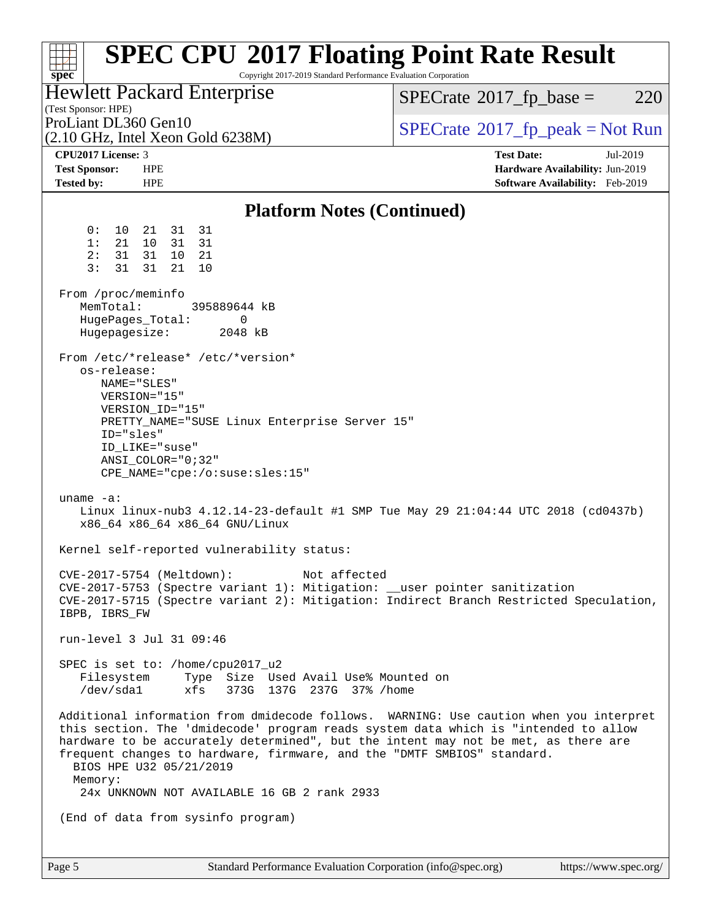| $spec^*$                                                                                                                                                                                         | Copyright 2017-2019 Standard Performance Evaluation Corporation                           | <b>SPEC CPU®2017 Floating Point Rate Result</b>                                                                                                                                                                                                                     |
|--------------------------------------------------------------------------------------------------------------------------------------------------------------------------------------------------|-------------------------------------------------------------------------------------------|---------------------------------------------------------------------------------------------------------------------------------------------------------------------------------------------------------------------------------------------------------------------|
| Hewlett Packard Enterprise<br>(Test Sponsor: HPE)                                                                                                                                                |                                                                                           | $SPECrate^{\circ}2017$ fp base =<br>220                                                                                                                                                                                                                             |
| ProLiant DL360 Gen10<br>$(2.10 \text{ GHz}, \text{Intel Xeon Gold } 6238\text{M})$                                                                                                               |                                                                                           | $SPECrate^{\circ}2017rfp peak = Not Run$                                                                                                                                                                                                                            |
| CPU2017 License: 3<br><b>Test Sponsor:</b><br><b>HPE</b>                                                                                                                                         |                                                                                           | <b>Test Date:</b><br>Jul-2019<br>Hardware Availability: Jun-2019                                                                                                                                                                                                    |
| <b>Tested by:</b><br><b>HPE</b>                                                                                                                                                                  |                                                                                           | Software Availability: Feb-2019                                                                                                                                                                                                                                     |
|                                                                                                                                                                                                  | <b>Platform Notes (Continued)</b>                                                         |                                                                                                                                                                                                                                                                     |
| 0 :<br>10<br>21<br>31 31<br>1:<br>21<br>10<br>31<br>31<br>2:<br>31<br>31<br>10<br>21<br>3:<br>31<br>31<br>21<br>10                                                                               |                                                                                           |                                                                                                                                                                                                                                                                     |
| From /proc/meminfo<br>MemTotal:<br>HugePages_Total:<br>Hugepagesize:                                                                                                                             | 395889644 kB<br>0<br>2048 kB                                                              |                                                                                                                                                                                                                                                                     |
| From /etc/*release* /etc/*version*<br>os-release:<br>NAME="SLES"<br>VERSION="15"<br>VERSION_ID="15"<br>ID="sles"<br>ID LIKE="suse"<br>$ANSI$ _COLOR=" $0:32$ "<br>CPE_NAME="cpe:/o:suse:sles:15" | PRETTY_NAME="SUSE Linux Enterprise Server 15"                                             |                                                                                                                                                                                                                                                                     |
| uname $-a$ :<br>x86_64 x86_64 x86_64 GNU/Linux                                                                                                                                                   |                                                                                           | Linux linux-nub3 4.12.14-23-default #1 SMP Tue May 29 21:04:44 UTC 2018 (cd0437b)                                                                                                                                                                                   |
| Kernel self-reported vulnerability status:                                                                                                                                                       |                                                                                           |                                                                                                                                                                                                                                                                     |
| CVE-2017-5754 (Meltdown):<br>IBPB, IBRS FW                                                                                                                                                       | Not affected                                                                              | CVE-2017-5753 (Spectre variant 1): Mitigation: __user pointer sanitization<br>CVE-2017-5715 (Spectre variant 2): Mitigation: Indirect Branch Restricted Speculation,                                                                                                |
| run-level 3 Jul 31 09:46                                                                                                                                                                         |                                                                                           |                                                                                                                                                                                                                                                                     |
| SPEC is set to: /home/cpu2017_u2                                                                                                                                                                 | Filesystem Type Size Used Avail Use% Mounted on<br>/dev/sda1 xfs 373G 137G 237G 37% /home |                                                                                                                                                                                                                                                                     |
| BIOS HPE U32 05/21/2019<br>Memory:                                                                                                                                                               | frequent changes to hardware, firmware, and the "DMTF SMBIOS" standard.                   | Additional information from dmidecode follows. WARNING: Use caution when you interpret<br>this section. The 'dmidecode' program reads system data which is "intended to allow<br>hardware to be accurately determined", but the intent may not be met, as there are |
|                                                                                                                                                                                                  | 24x UNKNOWN NOT AVAILABLE 16 GB 2 rank 2933                                               |                                                                                                                                                                                                                                                                     |
| (End of data from sysinfo program)                                                                                                                                                               |                                                                                           |                                                                                                                                                                                                                                                                     |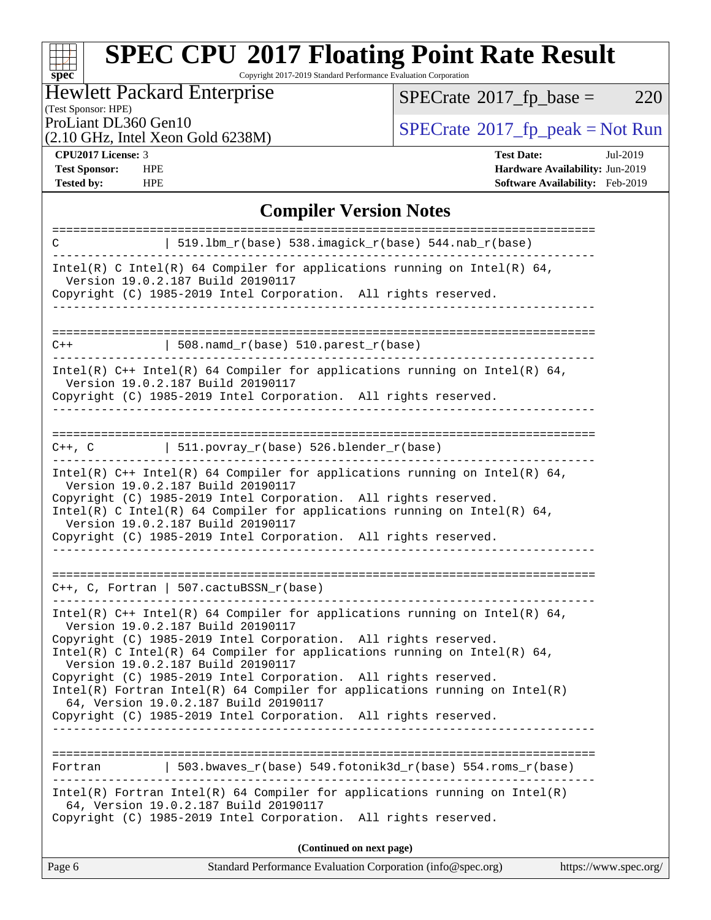Copyright 2017-2019 Standard Performance Evaluation Corporation

### Hewlett Packard Enterprise

 $SPECrate$ <sup>®</sup>[2017\\_fp\\_base =](http://www.spec.org/auto/cpu2017/Docs/result-fields.html#SPECrate2017fpbase) 220

#### (Test Sponsor: HPE)

(2.10 GHz, Intel Xeon Gold 6238M)

ProLiant DL360 Gen10<br>  $(2.10 \text{ GHz} \text{ Intel } X \text{eon Gold } 6238 \text{M})$   $\qquad \qquad$  [SPECrate](http://www.spec.org/auto/cpu2017/Docs/result-fields.html#SPECrate2017fppeak) [2017\\_fp\\_peak = N](http://www.spec.org/auto/cpu2017/Docs/result-fields.html#SPECrate2017fppeak)ot Run

**[spec](http://www.spec.org/)**

 $\pm$ 

**[CPU2017 License:](http://www.spec.org/auto/cpu2017/Docs/result-fields.html#CPU2017License)** 3 **[Test Date:](http://www.spec.org/auto/cpu2017/Docs/result-fields.html#TestDate)** Jul-2019 **[Test Sponsor:](http://www.spec.org/auto/cpu2017/Docs/result-fields.html#TestSponsor)** HPE **[Hardware Availability:](http://www.spec.org/auto/cpu2017/Docs/result-fields.html#HardwareAvailability)** Jun-2019 **[Tested by:](http://www.spec.org/auto/cpu2017/Docs/result-fields.html#Testedby)** HPE **[Software Availability:](http://www.spec.org/auto/cpu2017/Docs/result-fields.html#SoftwareAvailability)** Feb-2019

#### **[Compiler Version Notes](http://www.spec.org/auto/cpu2017/Docs/result-fields.html#CompilerVersionNotes)**

| C       | $519.1$ bm_r(base) 538.imagick_r(base) 544.nab_r(base)                                                                                                                                                                                                                                                                                                                                                                                                                                                                                                               |
|---------|----------------------------------------------------------------------------------------------------------------------------------------------------------------------------------------------------------------------------------------------------------------------------------------------------------------------------------------------------------------------------------------------------------------------------------------------------------------------------------------------------------------------------------------------------------------------|
|         | Intel(R) C Intel(R) 64 Compiler for applications running on Intel(R) 64,<br>Version 19.0.2.187 Build 20190117                                                                                                                                                                                                                                                                                                                                                                                                                                                        |
|         | Copyright (C) 1985-2019 Intel Corporation. All rights reserved.                                                                                                                                                                                                                                                                                                                                                                                                                                                                                                      |
| $C++$   | $508.n$ amd_r(base) $510.parest_r(base)$                                                                                                                                                                                                                                                                                                                                                                                                                                                                                                                             |
|         | Intel(R) $C++$ Intel(R) 64 Compiler for applications running on Intel(R) 64,<br>Version 19.0.2.187 Build 20190117<br>Copyright (C) 1985-2019 Intel Corporation. All rights reserved.<br>________________________________                                                                                                                                                                                                                                                                                                                                             |
|         | $C++$ , C $\vert$ 511.povray_r(base) 526.blender_r(base)<br>-----------------------------------                                                                                                                                                                                                                                                                                                                                                                                                                                                                      |
|         | Intel(R) $C++$ Intel(R) 64 Compiler for applications running on Intel(R) 64,<br>Version 19.0.2.187 Build 20190117<br>Copyright (C) 1985-2019 Intel Corporation. All rights reserved.<br>Intel(R) C Intel(R) 64 Compiler for applications running on Intel(R) 64,<br>Version 19.0.2.187 Build 20190117<br>Copyright (C) 1985-2019 Intel Corporation. All rights reserved.<br>___________________________________                                                                                                                                                      |
|         | $C++$ , C, Fortran   507.cactuBSSN_r(base)<br>----------------------------------                                                                                                                                                                                                                                                                                                                                                                                                                                                                                     |
|         | Intel(R) $C++$ Intel(R) 64 Compiler for applications running on Intel(R) 64,<br>Version 19.0.2.187 Build 20190117<br>Copyright (C) 1985-2019 Intel Corporation. All rights reserved.<br>Intel(R) C Intel(R) 64 Compiler for applications running on Intel(R) 64,<br>Version 19.0.2.187 Build 20190117<br>Copyright (C) 1985-2019 Intel Corporation. All rights reserved.<br>$Intel(R)$ Fortran Intel(R) 64 Compiler for applications running on Intel(R)<br>64, Version 19.0.2.187 Build 20190117<br>Copyright (C) 1985-2019 Intel Corporation. All rights reserved. |
|         | ______________________                                                                                                                                                                                                                                                                                                                                                                                                                                                                                                                                               |
| Fortran | 503.bwaves r(base) 549.fotonik3d r(base) 554.roms r(base)                                                                                                                                                                                                                                                                                                                                                                                                                                                                                                            |
|         | $Intel(R)$ Fortran Intel(R) 64 Compiler for applications running on Intel(R)<br>64, Version 19.0.2.187 Build 20190117<br>Copyright (C) 1985-2019 Intel Corporation. All rights reserved.                                                                                                                                                                                                                                                                                                                                                                             |
|         | (Continued on next page)                                                                                                                                                                                                                                                                                                                                                                                                                                                                                                                                             |
| Page 6  | Standard Performance Evaluation Corporation (info@spec.org)<br>https://www.spec.org/                                                                                                                                                                                                                                                                                                                                                                                                                                                                                 |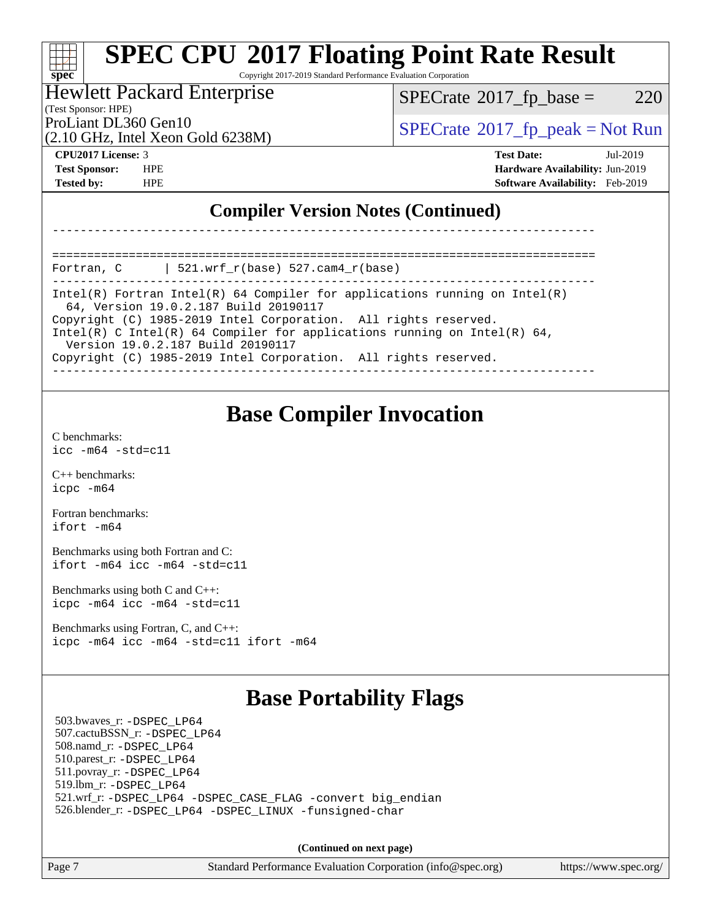Copyright 2017-2019 Standard Performance Evaluation Corporation

#### Hewlett Packard Enterprise

(Test Sponsor: HPE)

(2.10 GHz, Intel Xeon Gold 6238M)

 $SPECTate$ <sup>®</sup>[2017\\_fp\\_base =](http://www.spec.org/auto/cpu2017/Docs/result-fields.html#SPECrate2017fpbase) 220

ProLiant DL360 Gen10<br>  $SPECTate$ <sup>®</sup>[2017\\_fp\\_peak = N](http://www.spec.org/auto/cpu2017/Docs/result-fields.html#SPECrate2017fppeak)ot Run

**[spec](http://www.spec.org/)**

a ta ƙ

**[CPU2017 License:](http://www.spec.org/auto/cpu2017/Docs/result-fields.html#CPU2017License)** 3 **[Test Date:](http://www.spec.org/auto/cpu2017/Docs/result-fields.html#TestDate)** Jul-2019 **[Test Sponsor:](http://www.spec.org/auto/cpu2017/Docs/result-fields.html#TestSponsor)** HPE **[Hardware Availability:](http://www.spec.org/auto/cpu2017/Docs/result-fields.html#HardwareAvailability)** Jun-2019 **[Tested by:](http://www.spec.org/auto/cpu2017/Docs/result-fields.html#Testedby)** HPE **[Software Availability:](http://www.spec.org/auto/cpu2017/Docs/result-fields.html#SoftwareAvailability)** Feb-2019

### **[Compiler Version Notes \(Continued\)](http://www.spec.org/auto/cpu2017/Docs/result-fields.html#CompilerVersionNotes)**

============================================================================== Fortran, C | 521.wrf\_r(base) 527.cam4\_r(base)

------------------------------------------------------------------------------ Intel(R) Fortran Intel(R) 64 Compiler for applications running on Intel(R) 64, Version 19.0.2.187 Build 20190117

------------------------------------------------------------------------------

Copyright (C) 1985-2019 Intel Corporation. All rights reserved.

Intel(R) C Intel(R) 64 Compiler for applications running on Intel(R) 64,

Version 19.0.2.187 Build 20190117

Copyright (C) 1985-2019 Intel Corporation. All rights reserved. ------------------------------------------------------------------------------

### **[Base Compiler Invocation](http://www.spec.org/auto/cpu2017/Docs/result-fields.html#BaseCompilerInvocation)**

[C benchmarks](http://www.spec.org/auto/cpu2017/Docs/result-fields.html#Cbenchmarks): [icc -m64 -std=c11](http://www.spec.org/cpu2017/results/res2019q4/cpu2017-20190819-16900.flags.html#user_CCbase_intel_icc_64bit_c11_33ee0cdaae7deeeab2a9725423ba97205ce30f63b9926c2519791662299b76a0318f32ddfffdc46587804de3178b4f9328c46fa7c2b0cd779d7a61945c91cd35)

[C++ benchmarks:](http://www.spec.org/auto/cpu2017/Docs/result-fields.html#CXXbenchmarks) [icpc -m64](http://www.spec.org/cpu2017/results/res2019q4/cpu2017-20190819-16900.flags.html#user_CXXbase_intel_icpc_64bit_4ecb2543ae3f1412ef961e0650ca070fec7b7afdcd6ed48761b84423119d1bf6bdf5cad15b44d48e7256388bc77273b966e5eb805aefd121eb22e9299b2ec9d9)

[Fortran benchmarks](http://www.spec.org/auto/cpu2017/Docs/result-fields.html#Fortranbenchmarks): [ifort -m64](http://www.spec.org/cpu2017/results/res2019q4/cpu2017-20190819-16900.flags.html#user_FCbase_intel_ifort_64bit_24f2bb282fbaeffd6157abe4f878425411749daecae9a33200eee2bee2fe76f3b89351d69a8130dd5949958ce389cf37ff59a95e7a40d588e8d3a57e0c3fd751)

[Benchmarks using both Fortran and C](http://www.spec.org/auto/cpu2017/Docs/result-fields.html#BenchmarksusingbothFortranandC): [ifort -m64](http://www.spec.org/cpu2017/results/res2019q4/cpu2017-20190819-16900.flags.html#user_CC_FCbase_intel_ifort_64bit_24f2bb282fbaeffd6157abe4f878425411749daecae9a33200eee2bee2fe76f3b89351d69a8130dd5949958ce389cf37ff59a95e7a40d588e8d3a57e0c3fd751) [icc -m64 -std=c11](http://www.spec.org/cpu2017/results/res2019q4/cpu2017-20190819-16900.flags.html#user_CC_FCbase_intel_icc_64bit_c11_33ee0cdaae7deeeab2a9725423ba97205ce30f63b9926c2519791662299b76a0318f32ddfffdc46587804de3178b4f9328c46fa7c2b0cd779d7a61945c91cd35)

[Benchmarks using both C and C++](http://www.spec.org/auto/cpu2017/Docs/result-fields.html#BenchmarksusingbothCandCXX): [icpc -m64](http://www.spec.org/cpu2017/results/res2019q4/cpu2017-20190819-16900.flags.html#user_CC_CXXbase_intel_icpc_64bit_4ecb2543ae3f1412ef961e0650ca070fec7b7afdcd6ed48761b84423119d1bf6bdf5cad15b44d48e7256388bc77273b966e5eb805aefd121eb22e9299b2ec9d9) [icc -m64 -std=c11](http://www.spec.org/cpu2017/results/res2019q4/cpu2017-20190819-16900.flags.html#user_CC_CXXbase_intel_icc_64bit_c11_33ee0cdaae7deeeab2a9725423ba97205ce30f63b9926c2519791662299b76a0318f32ddfffdc46587804de3178b4f9328c46fa7c2b0cd779d7a61945c91cd35)

[Benchmarks using Fortran, C, and C++:](http://www.spec.org/auto/cpu2017/Docs/result-fields.html#BenchmarksusingFortranCandCXX) [icpc -m64](http://www.spec.org/cpu2017/results/res2019q4/cpu2017-20190819-16900.flags.html#user_CC_CXX_FCbase_intel_icpc_64bit_4ecb2543ae3f1412ef961e0650ca070fec7b7afdcd6ed48761b84423119d1bf6bdf5cad15b44d48e7256388bc77273b966e5eb805aefd121eb22e9299b2ec9d9) [icc -m64 -std=c11](http://www.spec.org/cpu2017/results/res2019q4/cpu2017-20190819-16900.flags.html#user_CC_CXX_FCbase_intel_icc_64bit_c11_33ee0cdaae7deeeab2a9725423ba97205ce30f63b9926c2519791662299b76a0318f32ddfffdc46587804de3178b4f9328c46fa7c2b0cd779d7a61945c91cd35) [ifort -m64](http://www.spec.org/cpu2017/results/res2019q4/cpu2017-20190819-16900.flags.html#user_CC_CXX_FCbase_intel_ifort_64bit_24f2bb282fbaeffd6157abe4f878425411749daecae9a33200eee2bee2fe76f3b89351d69a8130dd5949958ce389cf37ff59a95e7a40d588e8d3a57e0c3fd751)

## **[Base Portability Flags](http://www.spec.org/auto/cpu2017/Docs/result-fields.html#BasePortabilityFlags)**

 503.bwaves\_r: [-DSPEC\\_LP64](http://www.spec.org/cpu2017/results/res2019q4/cpu2017-20190819-16900.flags.html#suite_basePORTABILITY503_bwaves_r_DSPEC_LP64) 507.cactuBSSN\_r: [-DSPEC\\_LP64](http://www.spec.org/cpu2017/results/res2019q4/cpu2017-20190819-16900.flags.html#suite_basePORTABILITY507_cactuBSSN_r_DSPEC_LP64) 508.namd\_r: [-DSPEC\\_LP64](http://www.spec.org/cpu2017/results/res2019q4/cpu2017-20190819-16900.flags.html#suite_basePORTABILITY508_namd_r_DSPEC_LP64) 510.parest\_r: [-DSPEC\\_LP64](http://www.spec.org/cpu2017/results/res2019q4/cpu2017-20190819-16900.flags.html#suite_basePORTABILITY510_parest_r_DSPEC_LP64) 511.povray\_r: [-DSPEC\\_LP64](http://www.spec.org/cpu2017/results/res2019q4/cpu2017-20190819-16900.flags.html#suite_basePORTABILITY511_povray_r_DSPEC_LP64) 519.lbm\_r: [-DSPEC\\_LP64](http://www.spec.org/cpu2017/results/res2019q4/cpu2017-20190819-16900.flags.html#suite_basePORTABILITY519_lbm_r_DSPEC_LP64) 521.wrf\_r: [-DSPEC\\_LP64](http://www.spec.org/cpu2017/results/res2019q4/cpu2017-20190819-16900.flags.html#suite_basePORTABILITY521_wrf_r_DSPEC_LP64) [-DSPEC\\_CASE\\_FLAG](http://www.spec.org/cpu2017/results/res2019q4/cpu2017-20190819-16900.flags.html#b521.wrf_r_baseCPORTABILITY_DSPEC_CASE_FLAG) [-convert big\\_endian](http://www.spec.org/cpu2017/results/res2019q4/cpu2017-20190819-16900.flags.html#user_baseFPORTABILITY521_wrf_r_convert_big_endian_c3194028bc08c63ac5d04de18c48ce6d347e4e562e8892b8bdbdc0214820426deb8554edfa529a3fb25a586e65a3d812c835984020483e7e73212c4d31a38223) 526.blender\_r: [-DSPEC\\_LP64](http://www.spec.org/cpu2017/results/res2019q4/cpu2017-20190819-16900.flags.html#suite_basePORTABILITY526_blender_r_DSPEC_LP64) [-DSPEC\\_LINUX](http://www.spec.org/cpu2017/results/res2019q4/cpu2017-20190819-16900.flags.html#b526.blender_r_baseCPORTABILITY_DSPEC_LINUX) [-funsigned-char](http://www.spec.org/cpu2017/results/res2019q4/cpu2017-20190819-16900.flags.html#user_baseCPORTABILITY526_blender_r_force_uchar_40c60f00ab013830e2dd6774aeded3ff59883ba5a1fc5fc14077f794d777847726e2a5858cbc7672e36e1b067e7e5c1d9a74f7176df07886a243d7cc18edfe67)

**(Continued on next page)**

Page 7 Standard Performance Evaluation Corporation [\(info@spec.org\)](mailto:info@spec.org) <https://www.spec.org/>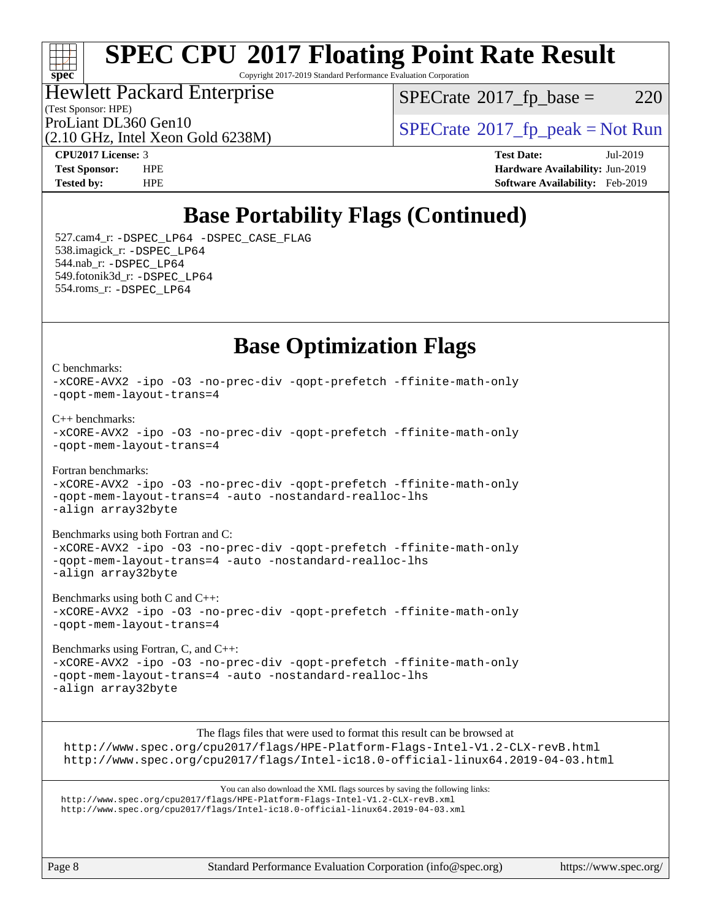

Copyright 2017-2019 Standard Performance Evaluation Corporation

## Hewlett Packard Enterprise

(Test Sponsor: HPE)

 $SPECTate$ <sup>®</sup>[2017\\_fp\\_base =](http://www.spec.org/auto/cpu2017/Docs/result-fields.html#SPECrate2017fpbase) 220

(2.10 GHz, Intel Xeon Gold 6238M)

ProLiant DL360 Gen10  $SPECrate^{\circ}2017$  $SPECrate^{\circ}2017$  fp\_peak = Not Run

**[CPU2017 License:](http://www.spec.org/auto/cpu2017/Docs/result-fields.html#CPU2017License)** 3 **[Test Date:](http://www.spec.org/auto/cpu2017/Docs/result-fields.html#TestDate)** Jul-2019 **[Test Sponsor:](http://www.spec.org/auto/cpu2017/Docs/result-fields.html#TestSponsor)** HPE **[Hardware Availability:](http://www.spec.org/auto/cpu2017/Docs/result-fields.html#HardwareAvailability)** Jun-2019 **[Tested by:](http://www.spec.org/auto/cpu2017/Docs/result-fields.html#Testedby)** HPE **[Software Availability:](http://www.spec.org/auto/cpu2017/Docs/result-fields.html#SoftwareAvailability)** Feb-2019

## **[Base Portability Flags \(Continued\)](http://www.spec.org/auto/cpu2017/Docs/result-fields.html#BasePortabilityFlags)**

 527.cam4\_r: [-DSPEC\\_LP64](http://www.spec.org/cpu2017/results/res2019q4/cpu2017-20190819-16900.flags.html#suite_basePORTABILITY527_cam4_r_DSPEC_LP64) [-DSPEC\\_CASE\\_FLAG](http://www.spec.org/cpu2017/results/res2019q4/cpu2017-20190819-16900.flags.html#b527.cam4_r_baseCPORTABILITY_DSPEC_CASE_FLAG) 538.imagick\_r: [-DSPEC\\_LP64](http://www.spec.org/cpu2017/results/res2019q4/cpu2017-20190819-16900.flags.html#suite_basePORTABILITY538_imagick_r_DSPEC_LP64) 544.nab\_r: [-DSPEC\\_LP64](http://www.spec.org/cpu2017/results/res2019q4/cpu2017-20190819-16900.flags.html#suite_basePORTABILITY544_nab_r_DSPEC_LP64) 549.fotonik3d\_r: [-DSPEC\\_LP64](http://www.spec.org/cpu2017/results/res2019q4/cpu2017-20190819-16900.flags.html#suite_basePORTABILITY549_fotonik3d_r_DSPEC_LP64) 554.roms\_r: [-DSPEC\\_LP64](http://www.spec.org/cpu2017/results/res2019q4/cpu2017-20190819-16900.flags.html#suite_basePORTABILITY554_roms_r_DSPEC_LP64)

### **[Base Optimization Flags](http://www.spec.org/auto/cpu2017/Docs/result-fields.html#BaseOptimizationFlags)**

[C benchmarks](http://www.spec.org/auto/cpu2017/Docs/result-fields.html#Cbenchmarks): [-xCORE-AVX2](http://www.spec.org/cpu2017/results/res2019q4/cpu2017-20190819-16900.flags.html#user_CCbase_f-xCORE-AVX2) [-ipo](http://www.spec.org/cpu2017/results/res2019q4/cpu2017-20190819-16900.flags.html#user_CCbase_f-ipo) [-O3](http://www.spec.org/cpu2017/results/res2019q4/cpu2017-20190819-16900.flags.html#user_CCbase_f-O3) [-no-prec-div](http://www.spec.org/cpu2017/results/res2019q4/cpu2017-20190819-16900.flags.html#user_CCbase_f-no-prec-div) [-qopt-prefetch](http://www.spec.org/cpu2017/results/res2019q4/cpu2017-20190819-16900.flags.html#user_CCbase_f-qopt-prefetch) [-ffinite-math-only](http://www.spec.org/cpu2017/results/res2019q4/cpu2017-20190819-16900.flags.html#user_CCbase_f_finite_math_only_cb91587bd2077682c4b38af759c288ed7c732db004271a9512da14a4f8007909a5f1427ecbf1a0fb78ff2a814402c6114ac565ca162485bbcae155b5e4258871) [-qopt-mem-layout-trans=4](http://www.spec.org/cpu2017/results/res2019q4/cpu2017-20190819-16900.flags.html#user_CCbase_f-qopt-mem-layout-trans_fa39e755916c150a61361b7846f310bcdf6f04e385ef281cadf3647acec3f0ae266d1a1d22d972a7087a248fd4e6ca390a3634700869573d231a252c784941a8) [C++ benchmarks:](http://www.spec.org/auto/cpu2017/Docs/result-fields.html#CXXbenchmarks) [-xCORE-AVX2](http://www.spec.org/cpu2017/results/res2019q4/cpu2017-20190819-16900.flags.html#user_CXXbase_f-xCORE-AVX2) [-ipo](http://www.spec.org/cpu2017/results/res2019q4/cpu2017-20190819-16900.flags.html#user_CXXbase_f-ipo) [-O3](http://www.spec.org/cpu2017/results/res2019q4/cpu2017-20190819-16900.flags.html#user_CXXbase_f-O3) [-no-prec-div](http://www.spec.org/cpu2017/results/res2019q4/cpu2017-20190819-16900.flags.html#user_CXXbase_f-no-prec-div) [-qopt-prefetch](http://www.spec.org/cpu2017/results/res2019q4/cpu2017-20190819-16900.flags.html#user_CXXbase_f-qopt-prefetch) [-ffinite-math-only](http://www.spec.org/cpu2017/results/res2019q4/cpu2017-20190819-16900.flags.html#user_CXXbase_f_finite_math_only_cb91587bd2077682c4b38af759c288ed7c732db004271a9512da14a4f8007909a5f1427ecbf1a0fb78ff2a814402c6114ac565ca162485bbcae155b5e4258871) [-qopt-mem-layout-trans=4](http://www.spec.org/cpu2017/results/res2019q4/cpu2017-20190819-16900.flags.html#user_CXXbase_f-qopt-mem-layout-trans_fa39e755916c150a61361b7846f310bcdf6f04e385ef281cadf3647acec3f0ae266d1a1d22d972a7087a248fd4e6ca390a3634700869573d231a252c784941a8) [Fortran benchmarks](http://www.spec.org/auto/cpu2017/Docs/result-fields.html#Fortranbenchmarks): [-xCORE-AVX2](http://www.spec.org/cpu2017/results/res2019q4/cpu2017-20190819-16900.flags.html#user_FCbase_f-xCORE-AVX2) [-ipo](http://www.spec.org/cpu2017/results/res2019q4/cpu2017-20190819-16900.flags.html#user_FCbase_f-ipo) [-O3](http://www.spec.org/cpu2017/results/res2019q4/cpu2017-20190819-16900.flags.html#user_FCbase_f-O3) [-no-prec-div](http://www.spec.org/cpu2017/results/res2019q4/cpu2017-20190819-16900.flags.html#user_FCbase_f-no-prec-div) [-qopt-prefetch](http://www.spec.org/cpu2017/results/res2019q4/cpu2017-20190819-16900.flags.html#user_FCbase_f-qopt-prefetch) [-ffinite-math-only](http://www.spec.org/cpu2017/results/res2019q4/cpu2017-20190819-16900.flags.html#user_FCbase_f_finite_math_only_cb91587bd2077682c4b38af759c288ed7c732db004271a9512da14a4f8007909a5f1427ecbf1a0fb78ff2a814402c6114ac565ca162485bbcae155b5e4258871) [-qopt-mem-layout-trans=4](http://www.spec.org/cpu2017/results/res2019q4/cpu2017-20190819-16900.flags.html#user_FCbase_f-qopt-mem-layout-trans_fa39e755916c150a61361b7846f310bcdf6f04e385ef281cadf3647acec3f0ae266d1a1d22d972a7087a248fd4e6ca390a3634700869573d231a252c784941a8) [-auto](http://www.spec.org/cpu2017/results/res2019q4/cpu2017-20190819-16900.flags.html#user_FCbase_f-auto) [-nostandard-realloc-lhs](http://www.spec.org/cpu2017/results/res2019q4/cpu2017-20190819-16900.flags.html#user_FCbase_f_2003_std_realloc_82b4557e90729c0f113870c07e44d33d6f5a304b4f63d4c15d2d0f1fab99f5daaed73bdb9275d9ae411527f28b936061aa8b9c8f2d63842963b95c9dd6426b8a) [-align array32byte](http://www.spec.org/cpu2017/results/res2019q4/cpu2017-20190819-16900.flags.html#user_FCbase_align_array32byte_b982fe038af199962ba9a80c053b8342c548c85b40b8e86eb3cc33dee0d7986a4af373ac2d51c3f7cf710a18d62fdce2948f201cd044323541f22fc0fffc51b6) [Benchmarks using both Fortran and C](http://www.spec.org/auto/cpu2017/Docs/result-fields.html#BenchmarksusingbothFortranandC): [-xCORE-AVX2](http://www.spec.org/cpu2017/results/res2019q4/cpu2017-20190819-16900.flags.html#user_CC_FCbase_f-xCORE-AVX2) [-ipo](http://www.spec.org/cpu2017/results/res2019q4/cpu2017-20190819-16900.flags.html#user_CC_FCbase_f-ipo) [-O3](http://www.spec.org/cpu2017/results/res2019q4/cpu2017-20190819-16900.flags.html#user_CC_FCbase_f-O3) [-no-prec-div](http://www.spec.org/cpu2017/results/res2019q4/cpu2017-20190819-16900.flags.html#user_CC_FCbase_f-no-prec-div) [-qopt-prefetch](http://www.spec.org/cpu2017/results/res2019q4/cpu2017-20190819-16900.flags.html#user_CC_FCbase_f-qopt-prefetch) [-ffinite-math-only](http://www.spec.org/cpu2017/results/res2019q4/cpu2017-20190819-16900.flags.html#user_CC_FCbase_f_finite_math_only_cb91587bd2077682c4b38af759c288ed7c732db004271a9512da14a4f8007909a5f1427ecbf1a0fb78ff2a814402c6114ac565ca162485bbcae155b5e4258871) [-qopt-mem-layout-trans=4](http://www.spec.org/cpu2017/results/res2019q4/cpu2017-20190819-16900.flags.html#user_CC_FCbase_f-qopt-mem-layout-trans_fa39e755916c150a61361b7846f310bcdf6f04e385ef281cadf3647acec3f0ae266d1a1d22d972a7087a248fd4e6ca390a3634700869573d231a252c784941a8) [-auto](http://www.spec.org/cpu2017/results/res2019q4/cpu2017-20190819-16900.flags.html#user_CC_FCbase_f-auto) [-nostandard-realloc-lhs](http://www.spec.org/cpu2017/results/res2019q4/cpu2017-20190819-16900.flags.html#user_CC_FCbase_f_2003_std_realloc_82b4557e90729c0f113870c07e44d33d6f5a304b4f63d4c15d2d0f1fab99f5daaed73bdb9275d9ae411527f28b936061aa8b9c8f2d63842963b95c9dd6426b8a) [-align array32byte](http://www.spec.org/cpu2017/results/res2019q4/cpu2017-20190819-16900.flags.html#user_CC_FCbase_align_array32byte_b982fe038af199962ba9a80c053b8342c548c85b40b8e86eb3cc33dee0d7986a4af373ac2d51c3f7cf710a18d62fdce2948f201cd044323541f22fc0fffc51b6) [Benchmarks using both C and C++](http://www.spec.org/auto/cpu2017/Docs/result-fields.html#BenchmarksusingbothCandCXX): [-xCORE-AVX2](http://www.spec.org/cpu2017/results/res2019q4/cpu2017-20190819-16900.flags.html#user_CC_CXXbase_f-xCORE-AVX2) [-ipo](http://www.spec.org/cpu2017/results/res2019q4/cpu2017-20190819-16900.flags.html#user_CC_CXXbase_f-ipo) [-O3](http://www.spec.org/cpu2017/results/res2019q4/cpu2017-20190819-16900.flags.html#user_CC_CXXbase_f-O3) [-no-prec-div](http://www.spec.org/cpu2017/results/res2019q4/cpu2017-20190819-16900.flags.html#user_CC_CXXbase_f-no-prec-div) [-qopt-prefetch](http://www.spec.org/cpu2017/results/res2019q4/cpu2017-20190819-16900.flags.html#user_CC_CXXbase_f-qopt-prefetch) [-ffinite-math-only](http://www.spec.org/cpu2017/results/res2019q4/cpu2017-20190819-16900.flags.html#user_CC_CXXbase_f_finite_math_only_cb91587bd2077682c4b38af759c288ed7c732db004271a9512da14a4f8007909a5f1427ecbf1a0fb78ff2a814402c6114ac565ca162485bbcae155b5e4258871) [-qopt-mem-layout-trans=4](http://www.spec.org/cpu2017/results/res2019q4/cpu2017-20190819-16900.flags.html#user_CC_CXXbase_f-qopt-mem-layout-trans_fa39e755916c150a61361b7846f310bcdf6f04e385ef281cadf3647acec3f0ae266d1a1d22d972a7087a248fd4e6ca390a3634700869573d231a252c784941a8)

[Benchmarks using Fortran, C, and C++:](http://www.spec.org/auto/cpu2017/Docs/result-fields.html#BenchmarksusingFortranCandCXX) [-xCORE-AVX2](http://www.spec.org/cpu2017/results/res2019q4/cpu2017-20190819-16900.flags.html#user_CC_CXX_FCbase_f-xCORE-AVX2) [-ipo](http://www.spec.org/cpu2017/results/res2019q4/cpu2017-20190819-16900.flags.html#user_CC_CXX_FCbase_f-ipo) [-O3](http://www.spec.org/cpu2017/results/res2019q4/cpu2017-20190819-16900.flags.html#user_CC_CXX_FCbase_f-O3) [-no-prec-div](http://www.spec.org/cpu2017/results/res2019q4/cpu2017-20190819-16900.flags.html#user_CC_CXX_FCbase_f-no-prec-div) [-qopt-prefetch](http://www.spec.org/cpu2017/results/res2019q4/cpu2017-20190819-16900.flags.html#user_CC_CXX_FCbase_f-qopt-prefetch) [-ffinite-math-only](http://www.spec.org/cpu2017/results/res2019q4/cpu2017-20190819-16900.flags.html#user_CC_CXX_FCbase_f_finite_math_only_cb91587bd2077682c4b38af759c288ed7c732db004271a9512da14a4f8007909a5f1427ecbf1a0fb78ff2a814402c6114ac565ca162485bbcae155b5e4258871) [-qopt-mem-layout-trans=4](http://www.spec.org/cpu2017/results/res2019q4/cpu2017-20190819-16900.flags.html#user_CC_CXX_FCbase_f-qopt-mem-layout-trans_fa39e755916c150a61361b7846f310bcdf6f04e385ef281cadf3647acec3f0ae266d1a1d22d972a7087a248fd4e6ca390a3634700869573d231a252c784941a8) [-auto](http://www.spec.org/cpu2017/results/res2019q4/cpu2017-20190819-16900.flags.html#user_CC_CXX_FCbase_f-auto) [-nostandard-realloc-lhs](http://www.spec.org/cpu2017/results/res2019q4/cpu2017-20190819-16900.flags.html#user_CC_CXX_FCbase_f_2003_std_realloc_82b4557e90729c0f113870c07e44d33d6f5a304b4f63d4c15d2d0f1fab99f5daaed73bdb9275d9ae411527f28b936061aa8b9c8f2d63842963b95c9dd6426b8a) [-align array32byte](http://www.spec.org/cpu2017/results/res2019q4/cpu2017-20190819-16900.flags.html#user_CC_CXX_FCbase_align_array32byte_b982fe038af199962ba9a80c053b8342c548c85b40b8e86eb3cc33dee0d7986a4af373ac2d51c3f7cf710a18d62fdce2948f201cd044323541f22fc0fffc51b6)

[The flags files that were used to format this result can be browsed at](tmsearch) <http://www.spec.org/cpu2017/flags/HPE-Platform-Flags-Intel-V1.2-CLX-revB.html> <http://www.spec.org/cpu2017/flags/Intel-ic18.0-official-linux64.2019-04-03.html>

[You can also download the XML flags sources by saving the following links:](tmsearch) <http://www.spec.org/cpu2017/flags/HPE-Platform-Flags-Intel-V1.2-CLX-revB.xml> <http://www.spec.org/cpu2017/flags/Intel-ic18.0-official-linux64.2019-04-03.xml>